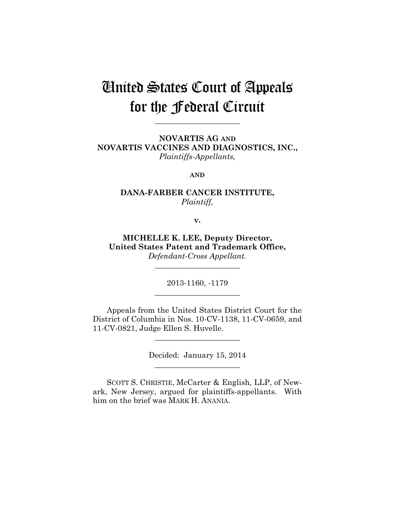# United States Court of Appeals for the Federal Circuit

**\_\_\_\_\_\_\_\_\_\_\_\_\_\_\_\_\_\_\_\_\_\_** 

**NOVARTIS AG AND NOVARTIS VACCINES AND DIAGNOSTICS, INC.,** *Plaintiffs-Appellants,*

**AND**

## **DANA-FARBER CANCER INSTITUTE,** *Plaintiff,*

**v.**

**MICHELLE K. LEE, Deputy Director, United States Patent and Trademark Office,** *Defendant-Cross Appellant.*

**\_\_\_\_\_\_\_\_\_\_\_\_\_\_\_\_\_\_\_\_\_\_** 

2013-1160, -1179 **\_\_\_\_\_\_\_\_\_\_\_\_\_\_\_\_\_\_\_\_\_\_** 

Appeals from the United States District Court for the District of Columbia in Nos. 10-CV-1138, 11-CV-0659, and 11-CV-0821, Judge Ellen S. Huvelle.

> Decided: January 15, 2014 **\_\_\_\_\_\_\_\_\_\_\_\_\_\_\_\_\_\_\_\_\_\_**

**\_\_\_\_\_\_\_\_\_\_\_\_\_\_\_\_\_\_\_\_\_\_** 

SCOTT S. CHRISTIE, McCarter & English, LLP, of Newark, New Jersey, argued for plaintiffs-appellants. With him on the brief was MARK H. ANANIA.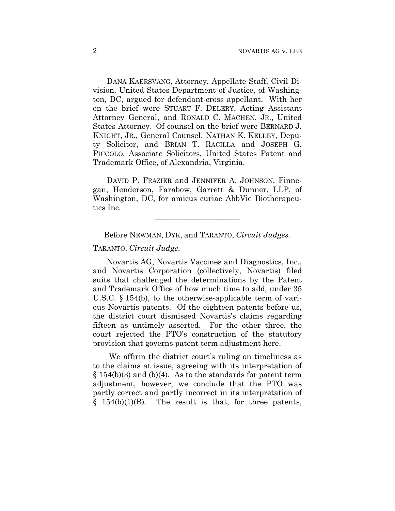DANA KAERSVANG, Attorney, Appellate Staff, Civil Division, United States Department of Justice, of Washington, DC, argued for defendant-cross appellant. With her on the brief were STUART F. DELERY, Acting Assistant Attorney General, and RONALD C. MACHEN, JR., United States Attorney. Of counsel on the brief were BERNARD J. KNIGHT, JR., General Counsel, NATHAN K. KELLEY, Deputy Solicitor, and BRIAN T. RACILLA and JOSEPH G. PICCOLO, Associate Solicitors, United States Patent and Trademark Office, of Alexandria, Virginia.

DAVID P. FRAZIER and JENNIFER A. JOHNSON, Finnegan, Henderson, Farabow, Garrett & Dunner, LLP, of Washington, DC, for amicus curiae AbbVie Biotherapeutics Inc.

Before NEWMAN, DYK, and TARANTO, *Circuit Judges.*

**\_\_\_\_\_\_\_\_\_\_\_\_\_\_\_\_\_\_\_\_\_\_** 

TARANTO, *Circuit Judge*.

Novartis AG, Novartis Vaccines and Diagnostics, Inc., and Novartis Corporation (collectively, Novartis) filed suits that challenged the determinations by the Patent and Trademark Office of how much time to add, under 35 U.S.C. § 154(b), to the otherwise-applicable term of various Novartis patents. Of the eighteen patents before us, the district court dismissed Novartis's claims regarding fifteen as untimely asserted. For the other three, the court rejected the PTO's construction of the statutory provision that governs patent term adjustment here.

We affirm the district court's ruling on timeliness as to the claims at issue, agreeing with its interpretation of  $\S 154(b)(3)$  and (b)(4). As to the standards for patent term adjustment, however, we conclude that the PTO was partly correct and partly incorrect in its interpretation of  $§$  154(b)(1)(B). The result is that, for three patents,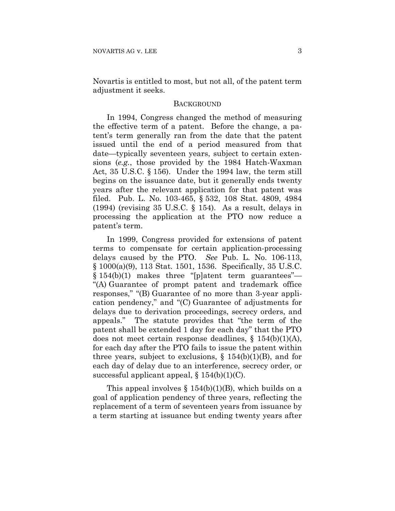Novartis is entitled to most, but not all, of the patent term adjustment it seeks.

#### **BACKGROUND**

In 1994, Congress changed the method of measuring the effective term of a patent. Before the change, a patent's term generally ran from the date that the patent issued until the end of a period measured from that date—typically seventeen years, subject to certain extensions (*e.g.*, those provided by the 1984 Hatch-Waxman Act, 35 U.S.C. § 156). Under the 1994 law, the term still begins on the issuance date, but it generally ends twenty years after the relevant application for that patent was filed. Pub. L. No. 103-465, § 532, 108 Stat. 4809, 4984 (1994) (revising 35 U.S.C. § 154). As a result, delays in processing the application at the PTO now reduce a patent's term.

In 1999, Congress provided for extensions of patent terms to compensate for certain application-processing delays caused by the PTO. *See* Pub. L. No. 106-113, § 1000(a)(9), 113 Stat. 1501, 1536. Specifically, 35 U.S.C. § 154(b)(1) makes three "[p]atent term guarantees"-"(A) Guarantee of prompt patent and trademark office responses," "(B) Guarantee of no more than 3-year application pendency," and "(C) Guarantee of adjustments for delays due to derivation proceedings, secrecy orders, and appeals." The statute provides that "the term of the patent shall be extended 1 day for each day" that the PTO does not meet certain response deadlines,  $\S$  154(b)(1)(A), for each day after the PTO fails to issue the patent within three years, subject to exclusions,  $\S$  154(b)(1)(B), and for each day of delay due to an interference, secrecy order, or successful applicant appeal,  $\S 154(b)(1)(C)$ .

This appeal involves  $\S$  154(b)(1)(B), which builds on a goal of application pendency of three years, reflecting the replacement of a term of seventeen years from issuance by a term starting at issuance but ending twenty years after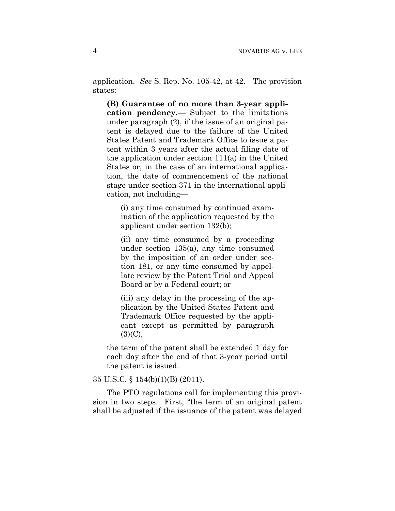application. *See* S. Rep. No. 105-42, at 42. The provision states:

**(B) Guarantee of no more than 3-year application pendency.**— Subject to the limitations under paragraph (2), if the issue of an original patent is delayed due to the failure of the United States Patent and Trademark Office to issue a patent within 3 years after the actual filing date of the application under section 111(a) in the United States or, in the case of an international application, the date of commencement of the national stage under section 371 in the international application, not including—

(i) any time consumed by continued examination of the application requested by the applicant under section 132(b);

(ii) any time consumed by a proceeding under section 135(a), any time consumed by the imposition of an order under section 181, or any time consumed by appellate review by the Patent Trial and Appeal Board or by a Federal court; or

(iii) any delay in the processing of the application by the United States Patent and Trademark Office requested by the applicant except as permitted by paragraph  $(3)(C)$ ,

the term of the patent shall be extended 1 day for each day after the end of that 3-year period until the patent is issued.

#### 35 U.S.C. § 154(b)(1)(B) (2011).

The PTO regulations call for implementing this provision in two steps. First, "the term of an original patent shall be adjusted if the issuance of the patent was delayed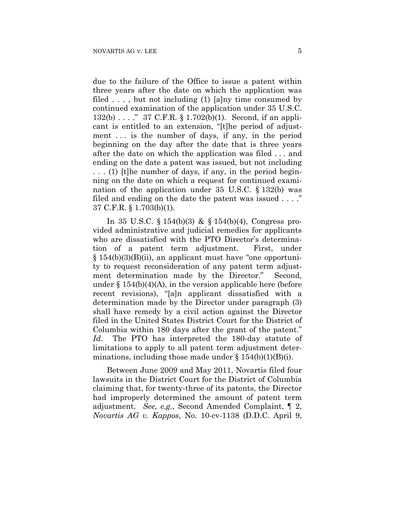due to the failure of the Office to issue a patent within three years after the date on which the application was filed  $\ldots$ , but not including (1) [a]ny time consumed by continued examination of the application under 35 U.S.C. 132(b) . . . ." 37 C.F.R. § 1.702(b)(1). Second, if an applicant is entitled to an extension, "[t]he period of adjustment . . . is the number of days, if any, in the period beginning on the day after the date that is three years after the date on which the application was filed . . . and ending on the date a patent was issued, but not including . . . (1) [t]he number of days, if any, in the period beginning on the date on which a request for continued examination of the application under 35 U.S.C. § 132(b) was filed and ending on the date the patent was issued . . . ." 37 C.F.R. § 1.703(b)(1).

In 35 U.S.C. § 154(b)(3) & § 154(b)(4), Congress provided administrative and judicial remedies for applicants who are dissatisfied with the PTO Director's determination of a patent term adjustment. First, under § 154(b)(3)(B)(ii), an applicant must have "one opportunity to request reconsideration of any patent term adjustment determination made by the Director." Second, under  $\S 154(b)(4)(A)$ , in the version applicable here (before recent revisions), "[a]n applicant dissatisfied with a determination made by the Director under paragraph (3) shall have remedy by a civil action against the Director filed in the United States District Court for the District of Columbia within 180 days after the grant of the patent." *Id.* The PTO has interpreted the 180-day statute of limitations to apply to all patent term adjustment determinations, including those made under  $\S 154(b)(1)(B(i))$ .

Between June 2009 and May 2011, Novartis filed four lawsuits in the District Court for the District of Columbia claiming that, for twenty-three of its patents, the Director had improperly determined the amount of patent term adjustment. *See, e.g.*, Second Amended Complaint, ¶ 2, *Novartis AG v. Kappos*, No. 10-cv-1138 (D.D.C. April 9,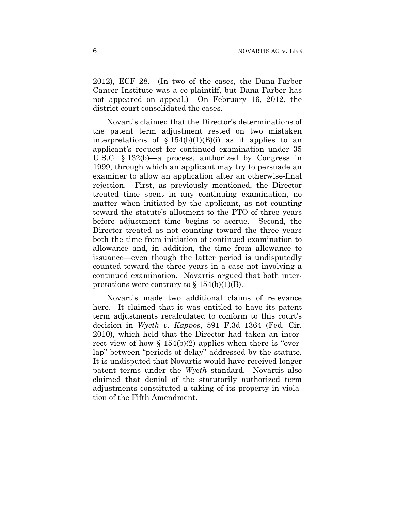2012), ECF 28. (In two of the cases, the Dana-Farber Cancer Institute was a co-plaintiff, but Dana-Farber has not appeared on appeal.) On February 16, 2012, the district court consolidated the cases.

Novartis claimed that the Director's determinations of the patent term adjustment rested on two mistaken interpretations of  $$ 154(b)(1)(B)(i)$  as it applies to an applicant's request for continued examination under 35 U.S.C. § 132(b)—a process, authorized by Congress in 1999, through which an applicant may try to persuade an examiner to allow an application after an otherwise-final rejection. First, as previously mentioned, the Director treated time spent in any continuing examination, no matter when initiated by the applicant, as not counting toward the statute's allotment to the PTO of three years before adjustment time begins to accrue. Second, the Director treated as not counting toward the three years both the time from initiation of continued examination to allowance and, in addition, the time from allowance to issuance—even though the latter period is undisputedly counted toward the three years in a case not involving a continued examination. Novartis argued that both interpretations were contrary to  $\S 154(b)(1)(B)$ .

Novartis made two additional claims of relevance here. It claimed that it was entitled to have its patent term adjustments recalculated to conform to this court's decision in *Wyeth v. Kappos*, 591 F.3d 1364 (Fed. Cir. 2010), which held that the Director had taken an incorrect view of how  $\S 154(b)(2)$  applies when there is "overlap" between "periods of delay" addressed by the statute. It is undisputed that Novartis would have received longer patent terms under the *Wyeth* standard. Novartis also claimed that denial of the statutorily authorized term adjustments constituted a taking of its property in violation of the Fifth Amendment.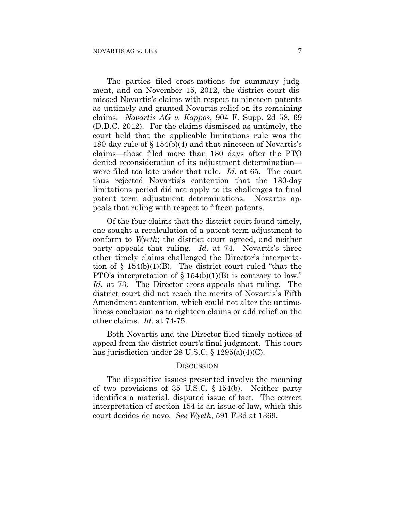The parties filed cross-motions for summary judgment, and on November 15, 2012, the district court dismissed Novartis's claims with respect to nineteen patents as untimely and granted Novartis relief on its remaining claims. *Novartis AG v. Kappos*, 904 F. Supp. 2d 58, 69 (D.D.C. 2012). For the claims dismissed as untimely, the court held that the applicable limitations rule was the 180-day rule of § 154(b)(4) and that nineteen of Novartis's claims—those filed more than 180 days after the PTO denied reconsideration of its adjustment determination were filed too late under that rule. *Id.* at 65. The court thus rejected Novartis's contention that the 180-day limitations period did not apply to its challenges to final patent term adjustment determinations. Novartis appeals that ruling with respect to fifteen patents.

Of the four claims that the district court found timely, one sought a recalculation of a patent term adjustment to conform to *Wyeth*; the district court agreed, and neither party appeals that ruling. *Id.* at 74. Novartis's three other timely claims challenged the Director's interpretation of  $\S$  154(b)(1)(B). The district court ruled "that the PTO's interpretation of  $\S 154(b)(1)(B)$  is contrary to law." *Id.* at 73. The Director cross-appeals that ruling. The district court did not reach the merits of Novartis's Fifth Amendment contention, which could not alter the untimeliness conclusion as to eighteen claims or add relief on the other claims. *Id.* at 74-75.

Both Novartis and the Director filed timely notices of appeal from the district court's final judgment. This court has jurisdiction under 28 U.S.C. § 1295(a)(4)(C).

#### **DISCUSSION**

The dispositive issues presented involve the meaning of two provisions of 35 U.S.C. § 154(b). Neither party identifies a material, disputed issue of fact. The correct interpretation of section 154 is an issue of law, which this court decides de novo. *See Wyeth*, 591 F.3d at 1369.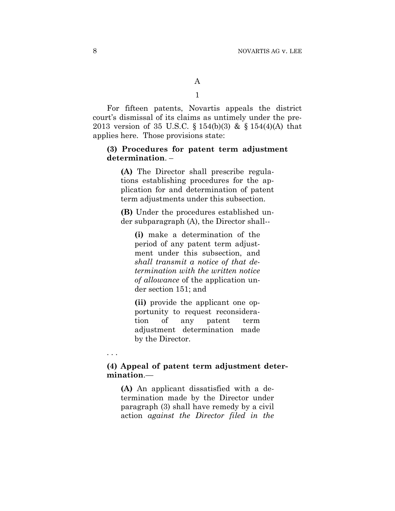For fifteen patents, Novartis appeals the district court's dismissal of its claims as untimely under the pre-2013 version of 35 U.S.C. § 154(b)(3) & § 154(4)(A) that applies here. Those provisions state:

### **(3) Procedures for patent term adjustment determination**. –

**(A)** The Director shall prescribe regulations establishing procedures for the application for and determination of patent term adjustments under this subsection.

**(B)** Under the procedures established under subparagraph (A), the Director shall--

**(i)** make a determination of the period of any patent term adjustment under this subsection, and *shall transmit a notice of that determination with the written notice of allowance* of the application under section 151; and

**(ii)** provide the applicant one opportunity to request reconsideration of any patent term adjustment determination made by the Director.

## **(4) Appeal of patent term adjustment determination**.—

**(A)** An applicant dissatisfied with a determination made by the Director under paragraph (3) shall have remedy by a civil action *against the Director filed in the* 

. . .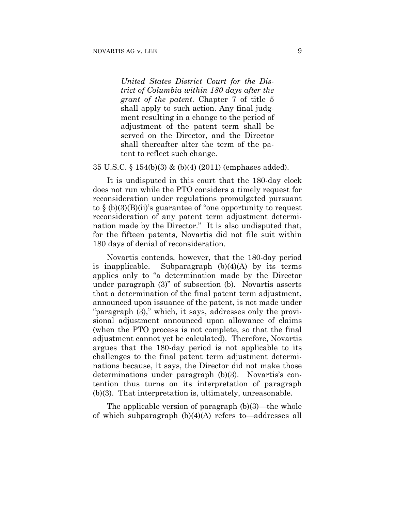*United States District Court for the District of Columbia within 180 days after the grant of the patent*. Chapter 7 of title 5 shall apply to such action. Any final judgment resulting in a change to the period of adjustment of the patent term shall be served on the Director, and the Director shall thereafter alter the term of the patent to reflect such change.

35 U.S.C. § 154(b)(3) & (b)(4) (2011) (emphases added).

It is undisputed in this court that the 180-day clock does not run while the PTO considers a timely request for reconsideration under regulations promulgated pursuant to  $\S$  (b)(3)(B)(ii)'s guarantee of "one opportunity to request reconsideration of any patent term adjustment determination made by the Director." It is also undisputed that, for the fifteen patents, Novartis did not file suit within 180 days of denial of reconsideration.

Novartis contends, however, that the 180-day period is inapplicable. Subparagraph  $(b)(4)(A)$  by its terms applies only to "a determination made by the Director under paragraph (3)" of subsection (b). Novartis asserts that a determination of the final patent term adjustment, announced upon issuance of the patent, is not made under "paragraph (3)," which, it says, addresses only the provisional adjustment announced upon allowance of claims (when the PTO process is not complete, so that the final adjustment cannot yet be calculated). Therefore, Novartis argues that the 180-day period is not applicable to its challenges to the final patent term adjustment determinations because, it says, the Director did not make those determinations under paragraph (b)(3). Novartis's contention thus turns on its interpretation of paragraph (b)(3). That interpretation is, ultimately, unreasonable.

The applicable version of paragraph (b)(3)—the whole of which subparagraph (b)(4)(A) refers to—addresses all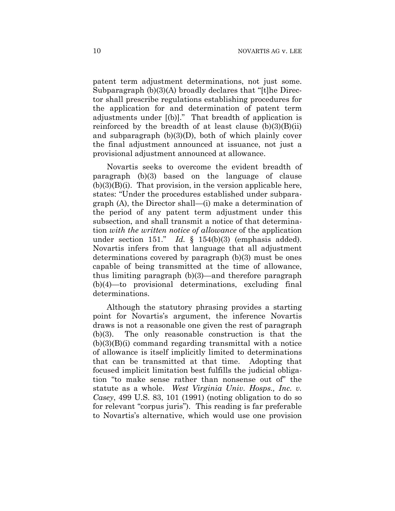patent term adjustment determinations, not just some. Subparagraph (b)(3)(A) broadly declares that "[t]he Director shall prescribe regulations establishing procedures for the application for and determination of patent term adjustments under [(b)]." That breadth of application is reinforced by the breadth of at least clause  $(b)(3)(B)(ii)$ and subparagraph  $(b)(3)(D)$ , both of which plainly cover the final adjustment announced at issuance, not just a provisional adjustment announced at allowance.

Novartis seeks to overcome the evident breadth of paragraph (b)(3) based on the language of clause  $(b)(3)(B)(i)$ . That provision, in the version applicable here, states: "Under the procedures established under subparagraph (A), the Director shall—(i) make a determination of the period of any patent term adjustment under this subsection, and shall transmit a notice of that determination *with the written notice of allowance* of the application under section 151." *Id.* § 154(b)(3) (emphasis added). Novartis infers from that language that all adjustment determinations covered by paragraph (b)(3) must be ones capable of being transmitted at the time of allowance, thus limiting paragraph (b)(3)—and therefore paragraph (b)(4)—to provisional determinations, excluding final determinations.

Although the statutory phrasing provides a starting point for Novartis's argument, the inference Novartis draws is not a reasonable one given the rest of paragraph (b)(3). The only reasonable construction is that the  $(b)(3)(B)(i)$  command regarding transmittal with a notice of allowance is itself implicitly limited to determinations that can be transmitted at that time. Adopting that focused implicit limitation best fulfills the judicial obligation "to make sense rather than nonsense out of" the statute as a whole. *West Virginia Univ. Hosps., Inc. v. Casey*, 499 U.S. 83, 101 (1991) (noting obligation to do so for relevant "corpus juris"). This reading is far preferable to Novartis's alternative, which would use one provision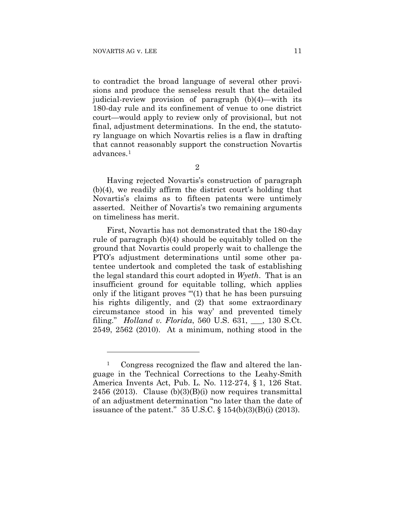<u>.</u>

to contradict the broad language of several other provisions and produce the senseless result that the detailed judicial-review provision of paragraph (b)(4)—with its 180-day rule and its confinement of venue to one district court—would apply to review only of provisional, but not final, adjustment determinations. In the end, the statutory language on which Novartis relies is a flaw in drafting that cannot reasonably support the construction Novartis advances.1

2

Having rejected Novartis's construction of paragraph (b)(4), we readily affirm the district court's holding that Novartis's claims as to fifteen patents were untimely asserted. Neither of Novartis's two remaining arguments on timeliness has merit.

First, Novartis has not demonstrated that the 180-day rule of paragraph (b)(4) should be equitably tolled on the ground that Novartis could properly wait to challenge the PTO's adjustment determinations until some other patentee undertook and completed the task of establishing the legal standard this court adopted in *Wyeth*. That is an insufficient ground for equitable tolling, which applies only if the litigant proves "'(1) that he has been pursuing his rights diligently, and (2) that some extraordinary circumstance stood in his way' and prevented timely filing." *Holland v. Florida*, 560 U.S. 631, \_\_\_, 130 S.Ct. 2549, 2562 (2010). At a minimum, nothing stood in the

<sup>&</sup>lt;sup>1</sup> Congress recognized the flaw and altered the language in the Technical Corrections to the Leahy-Smith America Invents Act, Pub. L. No. 112-274, § 1, 126 Stat. 2456 (2013). Clause  $(b)(3)(B)(i)$  now requires transmittal of an adjustment determination "no later than the date of issuance of the patent." 35 U.S.C. § 154(b)(3)(B)(i) (2013).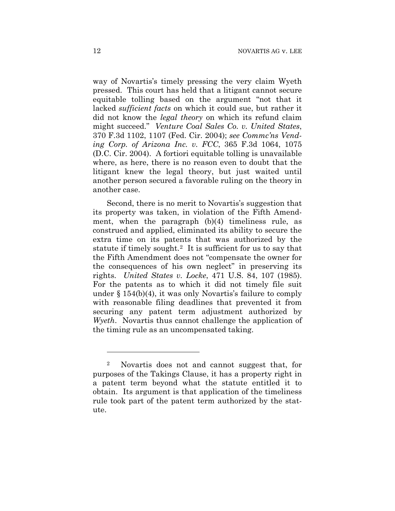way of Novartis's timely pressing the very claim Wyeth pressed. This court has held that a litigant cannot secure equitable tolling based on the argument "not that it lacked *sufficient facts* on which it could sue, but rather it did not know the *legal theory* on which its refund claim might succeed." *Venture Coal Sales Co. v. United States*, 370 F.3d 1102, 1107 (Fed. Cir. 2004); *see Commc'ns Vending Corp. of Arizona Inc. v. FCC*, 365 F.3d 1064, 1075 (D.C. Cir. 2004). A fortiori equitable tolling is unavailable where, as here, there is no reason even to doubt that the litigant knew the legal theory, but just waited until another person secured a favorable ruling on the theory in another case.

Second, there is no merit to Novartis's suggestion that its property was taken, in violation of the Fifth Amendment, when the paragraph (b)(4) timeliness rule, as construed and applied, eliminated its ability to secure the extra time on its patents that was authorized by the statute if timely sought.2 It is sufficient for us to say that the Fifth Amendment does not "compensate the owner for the consequences of his own neglect" in preserving its rights. *United States v. Locke*, 471 U.S. 84, 107 (1985). For the patents as to which it did not timely file suit under § 154(b)(4), it was only Novartis's failure to comply with reasonable filing deadlines that prevented it from securing any patent term adjustment authorized by *Wyeth*. Novartis thus cannot challenge the application of the timing rule as an uncompensated taking.

<u>.</u>

<sup>2</sup> Novartis does not and cannot suggest that, for purposes of the Takings Clause, it has a property right in a patent term beyond what the statute entitled it to obtain. Its argument is that application of the timeliness rule took part of the patent term authorized by the statute.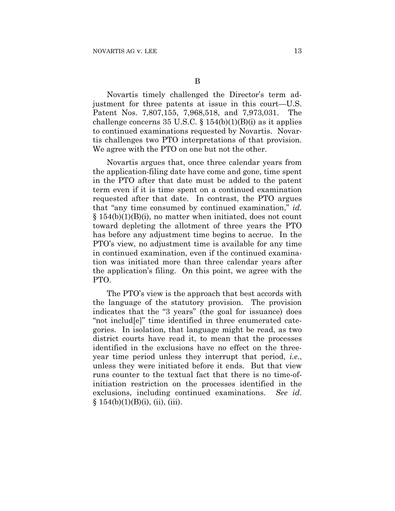Novartis timely challenged the Director's term adjustment for three patents at issue in this court—U.S. Patent Nos. 7,807,155, 7,968,518, and 7,973,031. The challenge concerns 35 U.S.C.  $\S 154(b)(1)(B)(i)$  as it applies to continued examinations requested by Novartis. Novartis challenges two PTO interpretations of that provision. We agree with the PTO on one but not the other.

Novartis argues that, once three calendar years from the application-filing date have come and gone, time spent in the PTO after that date must be added to the patent term even if it is time spent on a continued examination requested after that date. In contrast, the PTO argues that "any time consumed by continued examination," *id.* § 154(b)(1)(B)(i), no matter when initiated, does not count toward depleting the allotment of three years the PTO has before any adjustment time begins to accrue. In the PTO's view, no adjustment time is available for any time in continued examination, even if the continued examination was initiated more than three calendar years after the application's filing. On this point, we agree with the PTO.

The PTO's view is the approach that best accords with the language of the statutory provision. The provision indicates that the "3 years" (the goal for issuance) does "not includ[e]" time identified in three enumerated categories. In isolation, that language might be read, as two district courts have read it, to mean that the processes identified in the exclusions have no effect on the threeyear time period unless they interrupt that period, *i.e.*, unless they were initiated before it ends. But that view runs counter to the textual fact that there is no time-ofinitiation restriction on the processes identified in the exclusions, including continued examinations. *See id*.  $§ 154(b)(1)(B)(i), (ii), (iii).$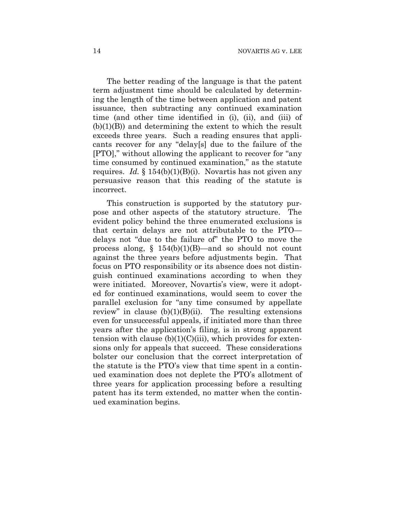The better reading of the language is that the patent term adjustment time should be calculated by determining the length of the time between application and patent issuance, then subtracting any continued examination time (and other time identified in (i), (ii), and (iii) of  $(b)(1)(B)$  and determining the extent to which the result exceeds three years. Such a reading ensures that applicants recover for any "delay[s] due to the failure of the [PTO]," without allowing the applicant to recover for "any time consumed by continued examination," as the statute requires. *Id.* § 154(b)(1)(B)(i). Novartis has not given any persuasive reason that this reading of the statute is incorrect.

This construction is supported by the statutory purpose and other aspects of the statutory structure. The evident policy behind the three enumerated exclusions is that certain delays are not attributable to the PTO delays not "due to the failure of" the PTO to move the process along,  $\S$  154(b)(1)(B)—and so should not count against the three years before adjustments begin. That focus on PTO responsibility or its absence does not distinguish continued examinations according to when they were initiated. Moreover, Novartis's view, were it adopted for continued examinations, would seem to cover the parallel exclusion for "any time consumed by appellate review" in clause  $(b)(1)(B)(ii)$ . The resulting extensions even for unsuccessful appeals, if initiated more than three years after the application's filing, is in strong apparent tension with clause  $(b)(1)(C)(iii)$ , which provides for extensions only for appeals that succeed. These considerations bolster our conclusion that the correct interpretation of the statute is the PTO's view that time spent in a continued examination does not deplete the PTO's allotment of three years for application processing before a resulting patent has its term extended, no matter when the continued examination begins.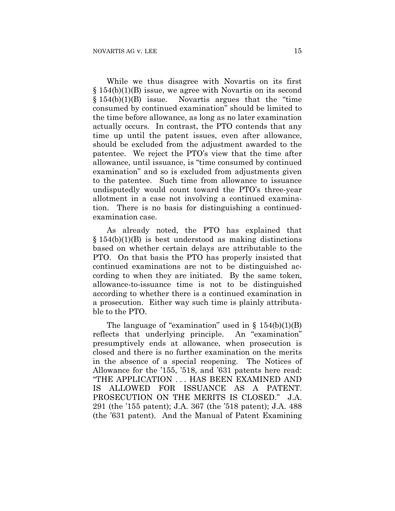While we thus disagree with Novartis on its first § 154(b)(1)(B) issue, we agree with Novartis on its second  $§ 154(b)(1)(B)$  issue. Novartis argues that the "time" consumed by continued examination" should be limited to the time before allowance, as long as no later examination actually occurs. In contrast, the PTO contends that any time up until the patent issues, even after allowance, should be excluded from the adjustment awarded to the patentee. We reject the PTO's view that the time after allowance, until issuance, is "time consumed by continued examination" and so is excluded from adjustments given to the patentee. Such time from allowance to issuance undisputedly would count toward the PTO's three-year allotment in a case not involving a continued examination. There is no basis for distinguishing a continuedexamination case.

As already noted, the PTO has explained that  $§$  154(b)(1)(B) is best understood as making distinctions based on whether certain delays are attributable to the PTO. On that basis the PTO has properly insisted that continued examinations are not to be distinguished according to when they are initiated. By the same token, allowance-to-issuance time is not to be distinguished according to whether there is a continued examination in a prosecution. Either way such time is plainly attributable to the PTO.

The language of "examination" used in  $\S$  154(b)(1)(B) reflects that underlying principle. An "examination" presumptively ends at allowance, when prosecution is closed and there is no further examination on the merits in the absence of a special reopening. The Notices of Allowance for the '155, '518, and '631 patents here read: "THE APPLICATION . . . HAS BEEN EXAMINED AND IS ALLOWED FOR ISSUANCE AS A PATENT. PROSECUTION ON THE MERITS IS CLOSED." J.A. 291 (the '155 patent); J.A. 367 (the '518 patent); J.A. 488 (the '631 patent). And the Manual of Patent Examining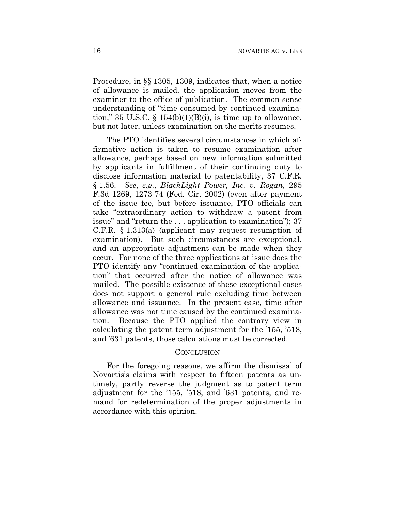Procedure, in §§ 1305, 1309, indicates that, when a notice of allowance is mailed, the application moves from the examiner to the office of publication. The common-sense understanding of "time consumed by continued examination," 35 U.S.C.  $\S$  154(b)(1)(B)(i), is time up to allowance, but not later, unless examination on the merits resumes.

The PTO identifies several circumstances in which affirmative action is taken to resume examination after allowance, perhaps based on new information submitted by applicants in fulfillment of their continuing duty to disclose information material to patentability, 37 C.F.R. § 1.56. *See*, *e.g.*, *BlackLight Power, Inc. v. Rogan*, 295 F.3d 1269, 1273-74 (Fed. Cir. 2002) (even after payment of the issue fee, but before issuance, PTO officials can take "extraordinary action to withdraw a patent from issue" and "return the . . . application to examination"); 37 C.F.R. § 1.313(a) (applicant may request resumption of examination). But such circumstances are exceptional, and an appropriate adjustment can be made when they occur. For none of the three applications at issue does the PTO identify any "continued examination of the application" that occurred after the notice of allowance was mailed. The possible existence of these exceptional cases does not support a general rule excluding time between allowance and issuance. In the present case, time after allowance was not time caused by the continued examination. Because the PTO applied the contrary view in calculating the patent term adjustment for the '155, '518, and '631 patents, those calculations must be corrected.

#### CONCLUSION

For the foregoing reasons, we affirm the dismissal of Novartis's claims with respect to fifteen patents as untimely, partly reverse the judgment as to patent term adjustment for the '155, '518, and '631 patents, and remand for redetermination of the proper adjustments in accordance with this opinion.